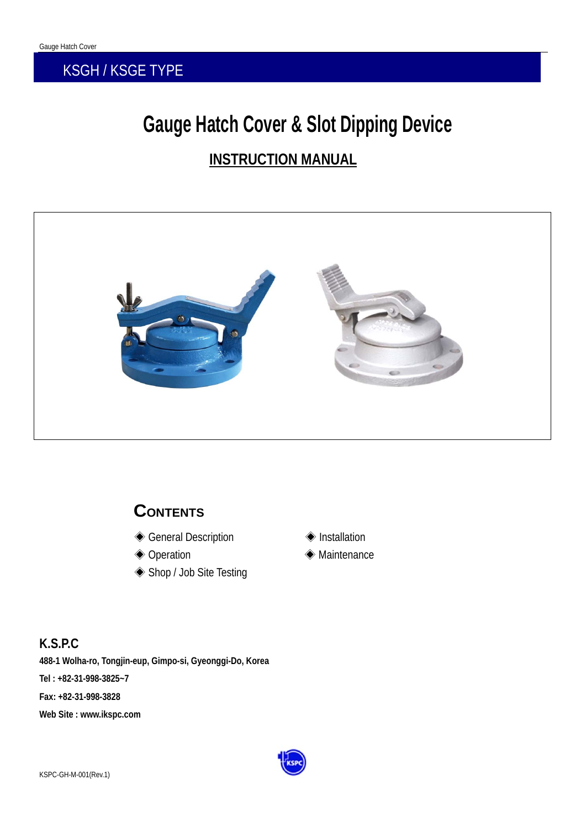### KSGH / KSGE TYPE

# **Gauge Hatch Cover & Slot Dipping Device INSTRUCTION MANUAL**



### **CONTENTS**

- ◆ General Description Installation
- 
- ◈ Shop / Job Site Testing
- 
- ◆ Operation Maintenance

#### **K.S.P.C**

**488-1 Wolha-ro, Tongjin-eup, Gimpo-si, Gyeonggi-Do, Korea Tel : +82-31-998-3825~7 Fax: +82-31-998-3828 Web Site : www.ikspc.com** 

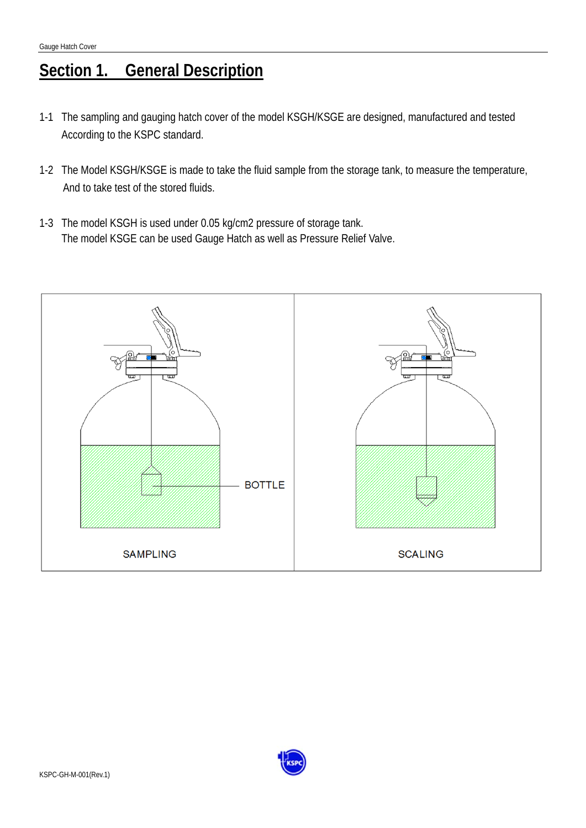## **Section 1. General Description**

- 1-1 The sampling and gauging hatch cover of the model KSGH/KSGE are designed, manufactured and tested According to the KSPC standard.
- 1-2 The Model KSGH/KSGE is made to take the fluid sample from the storage tank, to measure the temperature, And to take test of the stored fluids.
- 1-3 The model KSGH is used under 0.05 kg/cm2 pressure of storage tank. The model KSGE can be used Gauge Hatch as well as Pressure Relief Valve.



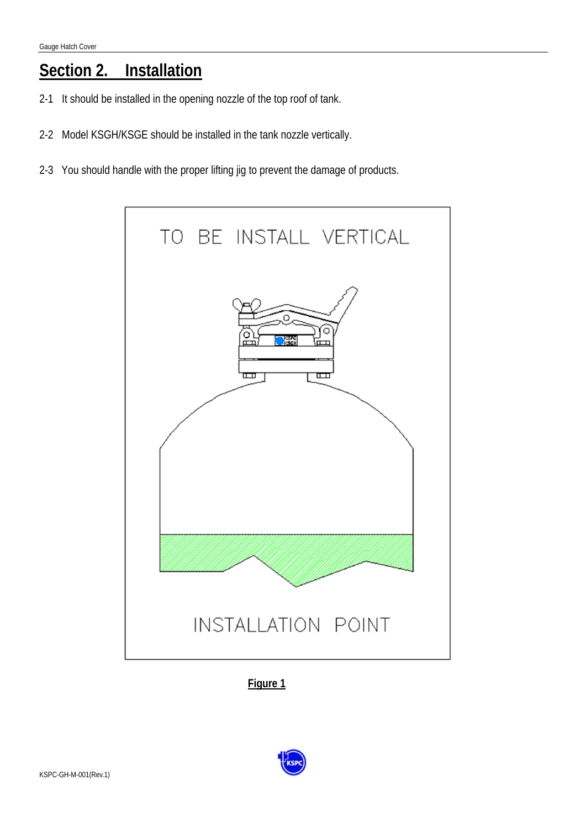### **Section 2. Installation**

- 2-1 It should be installed in the opening nozzle of the top roof of tank.
- 2-2 Model KSGH/KSGE should be installed in the tank nozzle vertically.
- 2-3 You should handle with the proper lifting jig to prevent the damage of products.



**Figure 1**

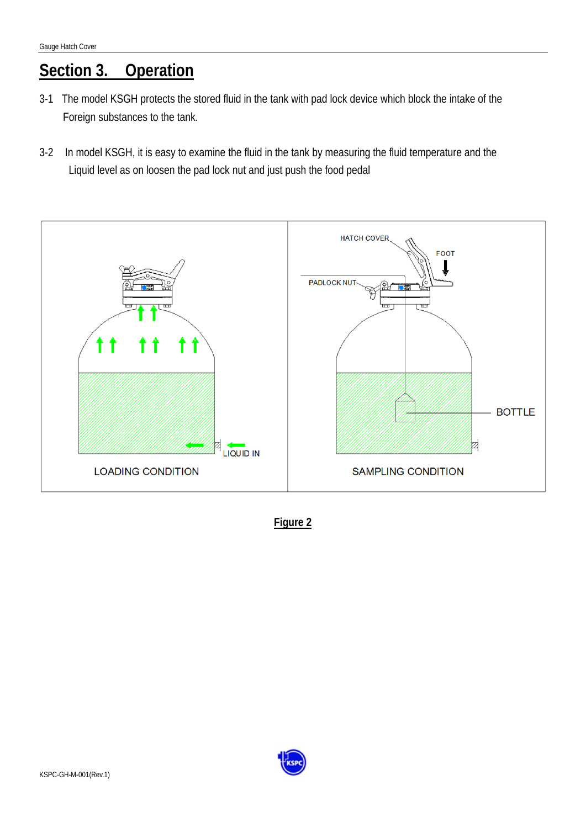# **Section 3. Operation**

- 3-1 The model KSGH protects the stored fluid in the tank with pad lock device which block the intake of the Foreign substances to the tank.
- 3-2 In model KSGH, it is easy to examine the fluid in the tank by measuring the fluid temperature and the Liquid level as on loosen the pad lock nut and just push the food pedal



**Figure 2**

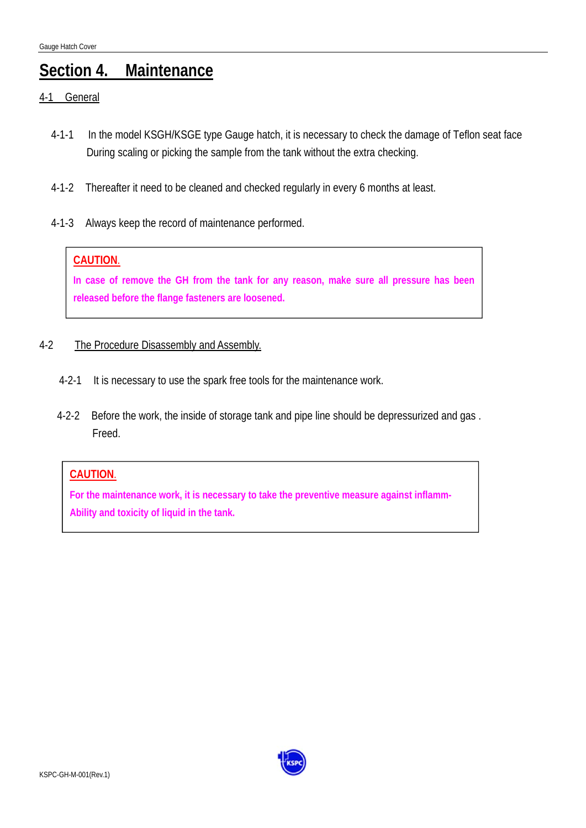### **Section 4. Maintenance**

- 4-1 General
	- 4-1-1 In the model KSGH/KSGE type Gauge hatch, it is necessary to check the damage of Teflon seat face During scaling or picking the sample from the tank without the extra checking.
	- 4-1-2 Thereafter it need to be cleaned and checked regularly in every 6 months at least.
	- 4-1-3 Always keep the record of maintenance performed.

#### **CAUTION**.

**In case of remove the GH from the tank for any reason, make sure all pressure has been released before the flange fasteners are loosened.** 

#### 4-2 The Procedure Disassembly and Assembly.

- 4-2-1 It is necessary to use the spark free tools for the maintenance work.
- 4-2-2 Before the work, the inside of storage tank and pipe line should be depressurized and gas . Freed.

#### **CAUTION**.

**For the maintenance work, it is necessary to take the preventive measure against inflamm-Ability and toxicity of liquid in the tank.** 

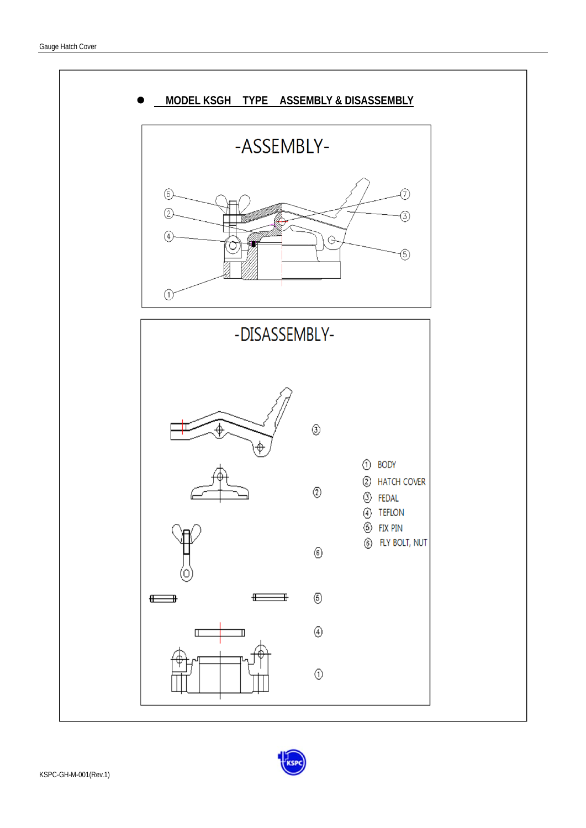

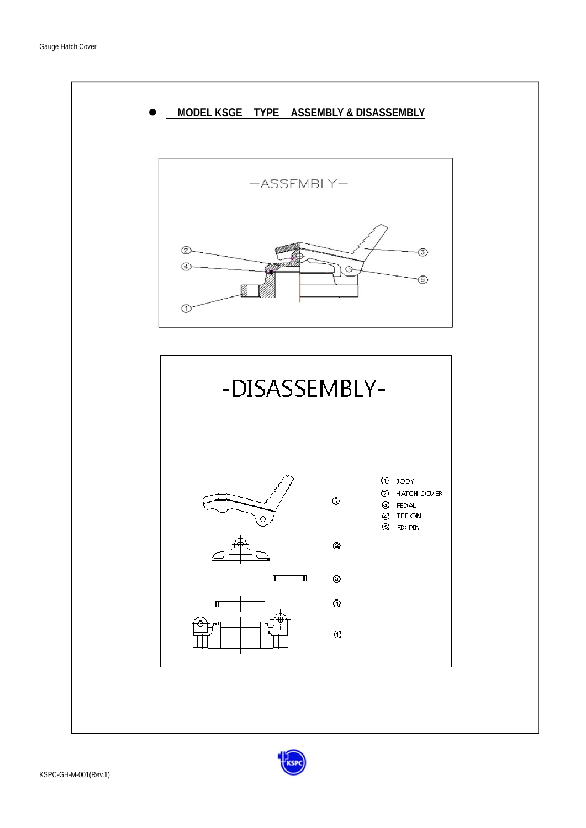